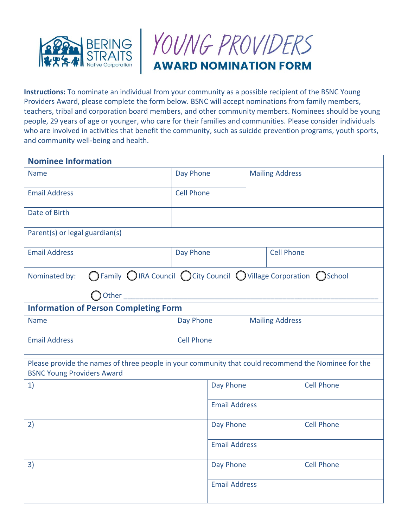



**Instructions:** To nominate an individual from your community as a possible recipient of the BSNC Young Providers Award, please complete the form below. BSNC will accept nominations from family members, teachers, tribal and corporation board members, and other community members. Nominees should be young people, 29 years of age or younger, who care for their families and communities. Please consider individuals who are involved in activities that benefit the community, such as suicide prevention programs, youth sports, and community well-being and health.

| <b>Nominee Information</b>                                                                                                               |                      |                        |                        |  |                   |
|------------------------------------------------------------------------------------------------------------------------------------------|----------------------|------------------------|------------------------|--|-------------------|
| <b>Name</b>                                                                                                                              | Day Phone            | <b>Mailing Address</b> |                        |  |                   |
| <b>Email Address</b>                                                                                                                     | <b>Cell Phone</b>    |                        |                        |  |                   |
| Date of Birth                                                                                                                            |                      |                        |                        |  |                   |
| Parent(s) or legal guardian(s)                                                                                                           |                      |                        |                        |  |                   |
| <b>Email Address</b>                                                                                                                     | Day Phone            |                        | <b>Cell Phone</b>      |  |                   |
| $\bigcap$ Family $\bigcirc$ IRA Council $\bigcirc$ City Council $\bigcirc$ Village Corporation $\bigcirc$ School<br>Nominated by:        |                      |                        |                        |  |                   |
| Other                                                                                                                                    |                      |                        |                        |  |                   |
| <b>Information of Person Completing Form</b>                                                                                             |                      |                        |                        |  |                   |
| <b>Name</b>                                                                                                                              | Day Phone            |                        | <b>Mailing Address</b> |  |                   |
| <b>Email Address</b>                                                                                                                     | <b>Cell Phone</b>    |                        |                        |  |                   |
| Please provide the names of three people in your community that could recommend the Nominee for the<br><b>BSNC Young Providers Award</b> |                      |                        |                        |  |                   |
| 1)                                                                                                                                       |                      | Day Phone              |                        |  | <b>Cell Phone</b> |
|                                                                                                                                          | <b>Email Address</b> |                        |                        |  |                   |
| 2)                                                                                                                                       |                      | Day Phone              |                        |  | <b>Cell Phone</b> |
|                                                                                                                                          |                      | <b>Email Address</b>   |                        |  |                   |
| 3)                                                                                                                                       |                      | Day Phone              |                        |  | <b>Cell Phone</b> |
|                                                                                                                                          |                      | <b>Email Address</b>   |                        |  |                   |